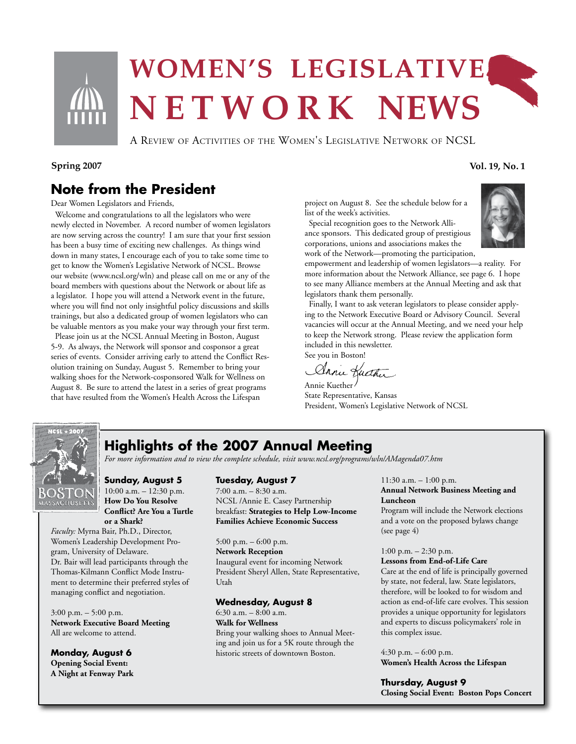

# WOMEN'S LEGISLATIVE. N E T W O R K NEWS

A Review of Activities of the Women's Legislative Network of NCSL

#### Spring 2007 Vol. 19, No. 1

### **Note from the President**

Dear Women Legislators and Friends,

 Welcome and congratulations to all the legislators who were newly elected in November. A record number of women legislators are now serving across the country! I am sure that your first session has been a busy time of exciting new challenges. As things wind down in many states, I encourage each of you to take some time to get to know the Women's Legislative Network of NCSL. Browse our website (www.ncsl.org/wln) and please call on me or any of the board members with questions about the Network or about life as a legislator. I hope you will attend a Network event in the future, where you will find not only insightful policy discussions and skills trainings, but also a dedicated group of women legislators who can be valuable mentors as you make your way through your first term.

 Please join us at the NCSL Annual Meeting in Boston, August 5-9. As always, the Network will sponsor and cosponsor a great series of events. Consider arriving early to attend the Conflict Resolution training on Sunday, August 5. Remember to bring your walking shoes for the Network-cosponsored Walk for Wellness on August 8. Be sure to attend the latest in a series of great programs that have resulted from the Women's Health Across the Lifespan

project on August 8. See the schedule below for a list of the week's activities.

 Special recognition goes to the Network Alliance sponsors. This dedicated group of prestigious corporations, unions and associations makes the work of the Network—promoting the participation,



empowerment and leadership of women legislators—a reality. For more information about the Network Alliance, see page 6. I hope to see many Alliance members at the Annual Meeting and ask that legislators thank them personally.

 Finally, I want to ask veteran legislators to please consider applying to the Network Executive Board or Advisory Council. Several vacancies will occur at the Annual Meeting, and we need your help to keep the Network strong. Please review the application form included in this newsletter.

See you in Boston! Annie Huther

Annie Kuether

State Representative, Kansas President, Women's Legislative Network of NCSL



## **Highlights of the 2007 Annual Meeting**

*For more information and to view the complete schedule, visit www.ncsl.org/programs/wln/AMagenda07.htm*

#### **Sunday, August 5** 10:00 a.m. – 12:30 p.m.

**How Do You Resolve Conflict? Are You a Turtle or a Shark?**

*Faculty:* Myrna Bair, Ph.D., Director, Women's Leadership Development Program, University of Delaware. Dr. Bair will lead participants through the Thomas-Kilmann Conflict Mode Instrument to determine their preferred styles of managing conflict and negotiation.

3:00 p.m. – 5:00 p.m. **Network Executive Board Meeting** All are welcome to attend.

**Monday, August 6 Opening Social Event: A Night at Fenway Park**

#### **Tuesday, August 7**

7:00 a.m. – 8:30 a.m. NCSL /Annie E. Casey Partnership breakfast: **Strategies to Help Low-Income Families Achieve Economic Success**

5:00 p.m. – 6:00 p.m. **Network Reception**  Inaugural event for incoming Network President Sheryl Allen, State Representative, Utah

#### **Wednesday, August 8**

6:30 a.m.  $-8:00$  a.m. **Walk for Wellness** Bring your walking shoes to Annual Meeting and join us for a 5K route through the historic streets of downtown Boston.

11:30 a.m. – 1:00 p.m. **Annual Network Business Meeting and Luncheon**

Program will include the Network elections and a vote on the proposed bylaws change (see page 4)

#### 1:00 p.m. – 2:30 p.m.

**Lessons from End-of-Life Care**

Care at the end of life is principally governed by state, not federal, law. State legislators, therefore, will be looked to for wisdom and action as end-of-life care evolves. This session provides a unique opportunity for legislators and experts to discuss policymakers' role in this complex issue.

 $4:30$  p.m.  $-6:00$  p.m. **Women's Health Across the Lifespan**

**Thursday, August 9 Closing Social Event: Boston Pops Concert**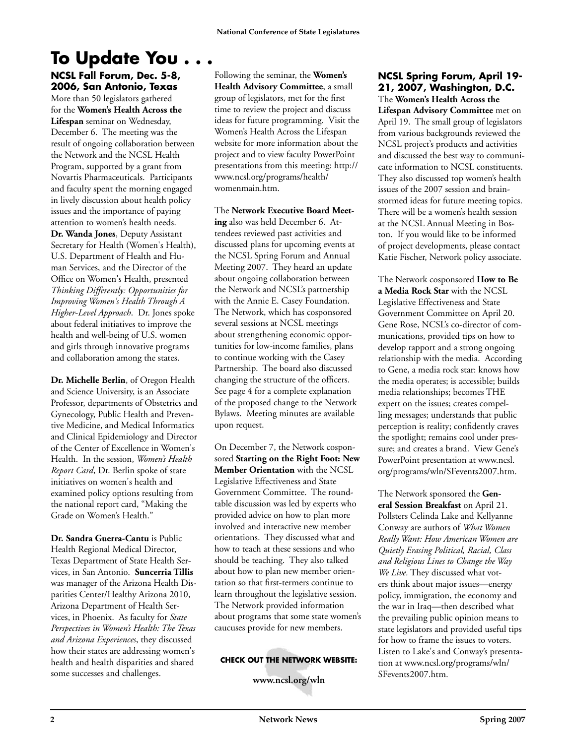# **To Update You . . .**

**NCSL Fall Forum, Dec. 5-8, 2006, San Antonio, Texas** More than 50 legislators gathered for the **Women's Health Across the Lifespan** seminar on Wednesday, December 6. The meeting was the result of ongoing collaboration between the Network and the NCSL Health Program, supported by a grant from Novartis Pharmaceuticals. Participants and faculty spent the morning engaged in lively discussion about health policy issues and the importance of paying attention to women's health needs. **Dr. Wanda Jones**, Deputy Assistant Secretary for Health (Women's Health), U.S. Department of Health and Human Services, and the Director of the Office on Women's Health, presented *Thinking Differently: Opportunities for Improving Women's Health Through A Higher-Level Approach*. Dr. Jones spoke about federal initiatives to improve the health and well-being of U.S. women and girls through innovative programs and collaboration among the states.

**Dr. Michelle Berlin**, of Oregon Health and Science University, is an Associate Professor, departments of Obstetrics and Gynecology, Public Health and Preventive Medicine, and Medical Informatics and Clinical Epidemiology and Director of the Center of Excellence in Women's Health. In the session, *Women's Health Report Card*, Dr. Berlin spoke of state initiatives on women's health and examined policy options resulting from the national report card, "Making the Grade on Women's Health."

**Dr. Sandra Guerra-Cantu** is Public Health Regional Medical Director, Texas Department of State Health Services, in San Antonio. **Suncerria Tillis** was manager of the Arizona Health Disparities Center/Healthy Arizona 2010, Arizona Department of Health Services, in Phoenix. As faculty for *State Perspectives in Women's Health: The Texas and Arizona Experiences*, they discussed how their states are addressing women's health and health disparities and shared some successes and challenges.

Following the seminar, the **Women's Health Advisory Committee**, a small group of legislators, met for the first time to review the project and discuss ideas for future programming. Visit the Women's Health Across the Lifespan website for more information about the project and to view faculty PowerPoint presentations from this meeting: http:// www.ncsl.org/programs/health/ womenmain.htm.

The **Network Executive Board Meeting** also was held December 6. Attendees reviewed past activities and discussed plans for upcoming events at the NCSL Spring Forum and Annual Meeting 2007. They heard an update about ongoing collaboration between the Network and NCSL's partnership with the Annie E. Casey Foundation. The Network, which has cosponsored several sessions at NCSL meetings about strengthening economic opportunities for low-income families, plans to continue working with the Casey Partnership. The board also discussed changing the structure of the officers. See page 4 for a complete explanation of the proposed change to the Network Bylaws. Meeting minutes are available upon request.

On December 7, the Network cosponsored **Starting on the Right Foot: New Member Orientation** with the NCSL Legislative Effectiveness and State Government Committee. The roundtable discussion was led by experts who provided advice on how to plan more involved and interactive new member orientations. They discussed what and how to teach at these sessions and who should be teaching. They also talked about how to plan new member orientation so that first-termers continue to learn throughout the legislative session. The Network provided information about programs that some state women's caucuses provide for new members.

#### **CHECK OUT THE NETWORK WEBSITE:**

**www.ncsl.org/wln** 

#### **NCSL Spring Forum, April 19- 21, 2007, Washington, D.C.**

The **Women's Health Across the Lifespan Advisory Committee** met on April 19. The small group of legislators from various backgrounds reviewed the NCSL project's products and activities and discussed the best way to communicate information to NCSL constituents. They also discussed top women's health issues of the 2007 session and brainstormed ideas for future meeting topics. There will be a women's health session at the NCSL Annual Meeting in Boston. If you would like to be informed of project developments, please contact Katie Fischer, Network policy associate.

The Network cosponsored **How to Be a Media Rock Star** with the NCSL Legislative Effectiveness and State Government Committee on April 20. Gene Rose, NCSL's co-director of communications, provided tips on how to develop rapport and a strong ongoing relationship with the media. According to Gene, a media rock star: knows how the media operates; is accessible; builds media relationships; becomes THE expert on the issues; creates compelling messages; understands that public perception is reality; confidently craves the spotlight; remains cool under pressure; and creates a brand. View Gene's PowerPoint presentation at www.ncsl. org/programs/wln/SFevents2007.htm.

The Network sponsored the **General Session Breakfast** on April 21. Pollsters Celinda Lake and Kellyanne Conway are authors of *What Women Really Want: How American Women are Quietly Erasing Political, Racial, Class and Religious Lines to Change the Way We Live.* They discussed what voters think about major issues—energy policy, immigration, the economy and the war in Iraq—then described what the prevailing public opinion means to state legislators and provided useful tips for how to frame the issues to voters. Listen to Lake's and Conway's presentation at www.ncsl.org/programs/wln/ SFevents2007.htm.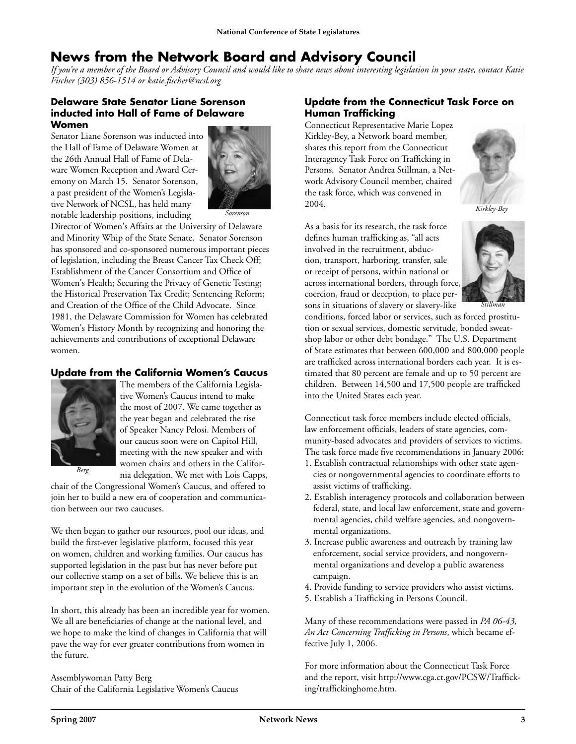### **News from the Network Board and Advisory Council**

*If you're a member of the Board or Advisory Council and would like to share news about interesting legislation in your state, contact Katie Fischer (303) 856-1514 or katie.fischer@ncsl.org*

#### **Delaware State Senator Liane Sorenson inducted into Hall of Fame of Delaware Women**

Senator Liane Sorenson was inducted into the Hall of Fame of Delaware Women at the 26th Annual Hall of Fame of Delaware Women Reception and Award Ceremony on March 15. Senator Sorenson, a past president of the Women's Legislative Network of NCSL, has held many notable leadership positions, including



Director of Women's Affairs at the University of Delaware and Minority Whip of the State Senate. Senator Sorenson has sponsored and co-sponsored numerous important pieces of legislation, including the Breast Cancer Tax Check Off; Establishment of the Cancer Consortium and Office of Women's Health; Securing the Privacy of Genetic Testing; the Historical Preservation Tax Credit; Sentencing Reform; and Creation of the Office of the Child Advocate. Since 1981, the Delaware Commission for Women has celebrated Women's History Month by recognizing and honoring the achievements and contributions of exceptional Delaware women.

#### **Update from the California Women's Caucus**



The members of the California Legislative Women's Caucus intend to make the most of 2007. We came together as the year began and celebrated the rise of Speaker Nancy Pelosi. Members of our caucus soon were on Capitol Hill, meeting with the new speaker and with women chairs and others in the California delegation. We met with Lois Capps,

chair of the Congressional Women's Caucus, and offered to join her to build a new era of cooperation and communication between our two caucuses.

We then began to gather our resources, pool our ideas, and build the first-ever legislative platform, focused this year on women, children and working families. Our caucus has supported legislation in the past but has never before put our collective stamp on a set of bills. We believe this is an important step in the evolution of the Women's Caucus.

In short, this already has been an incredible year for women. We all are beneficiaries of change at the national level, and we hope to make the kind of changes in California that will pave the way for ever greater contributions from women in the future.

Assemblywoman Patty Berg Chair of the California Legislative Women's Caucus

#### **Update from the Connecticut Task Force on Human Trafficking**

Connecticut Representative Marie Lopez Kirkley-Bey, a Network board member, shares this report from the Connecticut Interagency Task Force on Trafficking in Persons. Senator Andrea Stillman, a Network Advisory Council member, chaired the task force, which was convened in 2004.



*Kirkley-Bey*

As a basis for its research, the task force defines human trafficking as, "all acts involved in the recruitment, abduction, transport, harboring, transfer, sale or receipt of persons, within national or across international borders, through force, coercion, fraud or deception, to place persons in situations of slavery or slavery-like



conditions, forced labor or services, such as forced prostitution or sexual services, domestic servitude, bonded sweatshop labor or other debt bondage." The U.S. Department of State estimates that between 600,000 and 800,000 people are trafficked across international borders each year. It is estimated that 80 percent are female and up to 50 percent are children. Between 14,500 and 17,500 people are trafficked into the United States each year.

Connecticut task force members include elected officials, law enforcement officials, leaders of state agencies, community-based advocates and providers of services to victims. The task force made five recommendations in January 2006:

- 1. Establish contractual relationships with other state agencies or nongovernmental agencies to coordinate efforts to assist victims of trafficking.
- 2. Establish interagency protocols and collaboration between federal, state, and local law enforcement, state and governmental agencies, child welfare agencies, and nongovernmental organizations.
- 3. Increase public awareness and outreach by training law enforcement, social service providers, and nongovernmental organizations and develop a public awareness campaign.
- 4. Provide funding to service providers who assist victims.
- 5. Establish a Trafficking in Persons Council.

Many of these recommendations were passed in *PA 06-43, An Act Concerning Trafficking in Persons*, which became effective July 1, 2006.

For more information about the Connecticut Task Force and the report, visit http://www.cga.ct.gov/PCSW/Trafficking/traffickinghome.htm.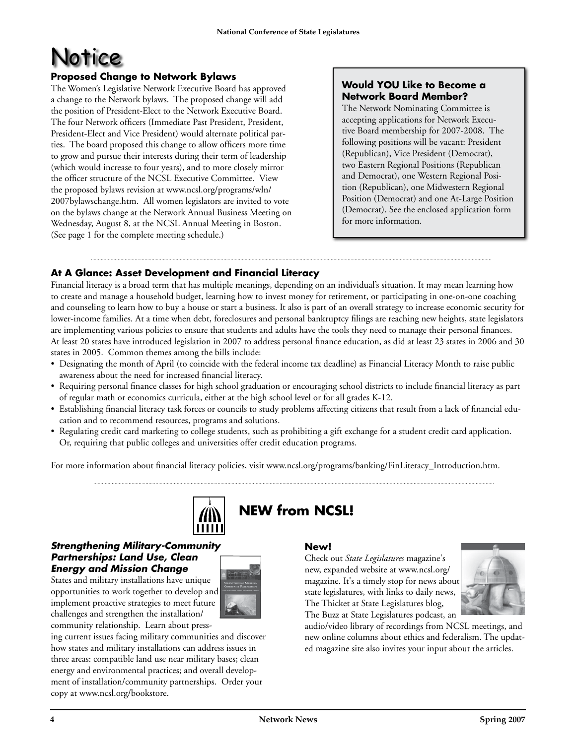# Notice

#### **Proposed Change to Network Bylaws**

The Women's Legislative Network Executive Board has approved a change to the Network bylaws. The proposed change will add the position of President-Elect to the Network Executive Board. The four Network officers (Immediate Past President, President, President-Elect and Vice President) would alternate political parties. The board proposed this change to allow officers more time to grow and pursue their interests during their term of leadership (which would increase to four years), and to more closely mirror the officer structure of the NCSL Executive Committee. View the proposed bylaws revision at www.ncsl.org/programs/wln/ 2007bylawschange.htm. All women legislators are invited to vote on the bylaws change at the Network Annual Business Meeting on Wednesday, August 8, at the NCSL Annual Meeting in Boston. (See page 1 for the complete meeting schedule.)

#### **Would YOU Like to Become a Network Board Member?**

The Network Nominating Committee is accepting applications for Network Executive Board membership for 2007-2008. The following positions will be vacant: President (Republican), Vice President (Democrat), two Eastern Regional Positions (Republican and Democrat), one Western Regional Position (Republican), one Midwestern Regional Position (Democrat) and one At-Large Position (Democrat). See the enclosed application form for more information.

#### **At A Glance: Asset Development and Financial Literacy**

Financial literacy is a broad term that has multiple meanings, depending on an individual's situation. It may mean learning how to create and manage a household budget, learning how to invest money for retirement, or participating in one-on-one coaching and counseling to learn how to buy a house or start a business. It also is part of an overall strategy to increase economic security for lower-income families. At a time when debt, foreclosures and personal bankruptcy filings are reaching new heights, state legislators are implementing various policies to ensure that students and adults have the tools they need to manage their personal finances. At least 20 states have introduced legislation in 2007 to address personal finance education, as did at least 23 states in 2006 and 30 states in 2005. Common themes among the bills include:

- Designating the month of April (to coincide with the federal income tax deadline) as Financial Literacy Month to raise public awareness about the need for increased financial literacy.
- Requiring personal finance classes for high school graduation or encouraging school districts to include financial literacy as part of regular math or economics curricula, either at the high school level or for all grades K-12.
- Establishing financial literacy task forces or councils to study problems affecting citizens that result from a lack of financial education and to recommend resources, programs and solutions.
- Regulating credit card marketing to college students, such as prohibiting a gift exchange for a student credit card application. Or, requiring that public colleges and universities offer credit education programs.

For more information about financial literacy policies, visit www.ncsl.org/programs/banking/FinLiteracy\_Introduction.htm.



#### *Strengthening Military-Community Partnerships: Land Use, Clean Energy and Mission Change*

States and military installations have unique opportunities to work together to develop and implement proactive strategies to meet future challenges and strengthen the installation/ community relationship. Learn about press-



ing current issues facing military communities and discover how states and military installations can address issues in three areas: compatible land use near military bases; clean energy and environmental practices; and overall development of installation/community partnerships. Order your copy at www.ncsl.org/bookstore.

#### **New!**

Check out *State Legislatures* magazine's new, expanded website at www.ncsl.org/ magazine. It's a timely stop for news about state legislatures, with links to daily news, The Thicket at State Legislatures blog, The Buzz at State Legislatures podcast, an



audio/video library of recordings from NCSL meetings, and new online columns about ethics and federalism. The updated magazine site also invites your input about the articles.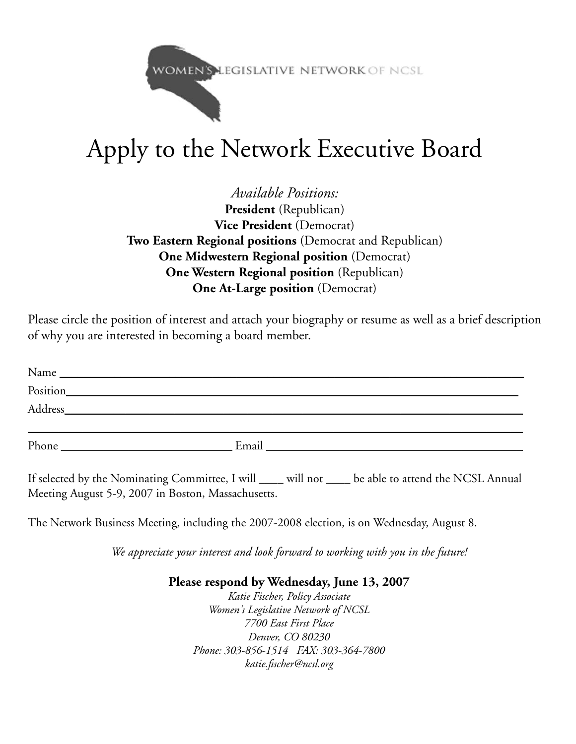WOMEN'S LEGISLATIVE NETWORK OF NCSL

# Apply to the Network Executive Board

*Available Positions:* President (Republican) **Vice President** (Democrat) **Two Eastern Regional positions** (Democrat and Republican) **One Midwestern Regional position** (Democrat) **One Western Regional position** (Republican) **One At-Large position** (Democrat)

Please circle the position of interest and attach your biography or resume as well as a brief description of why you are interested in becoming a board member.

| Name<br><u> 1989 - Johann Stein, mars an de Frankryk († 1958)</u>                                                                 |       |
|-----------------------------------------------------------------------------------------------------------------------------------|-------|
| Position<br><u>and the state of the state of the state of the state of the state of the state of the state of the state of th</u> |       |
| Address                                                                                                                           |       |
|                                                                                                                                   |       |
| Phone                                                                                                                             | Email |

If selected by the Nominating Committee, I will \_\_\_\_ will not \_\_\_\_ be able to attend the NCSL Annual Meeting August 5-9, 2007 in Boston, Massachusetts.

The Network Business Meeting, including the 2007-2008 election, is on Wednesday, August 8.

*We appreciate your interest and look forward to working with you in the future!*

#### **Please respond by Wednesday, June 13, 2007**

*Katie Fischer, Policy Associate Women's Legislative Network of NCSL 7700 East First Place Denver, CO 80230 Phone: 303-856-1514 FAX: 303-364-7800 katie.fischer@ncsl.org*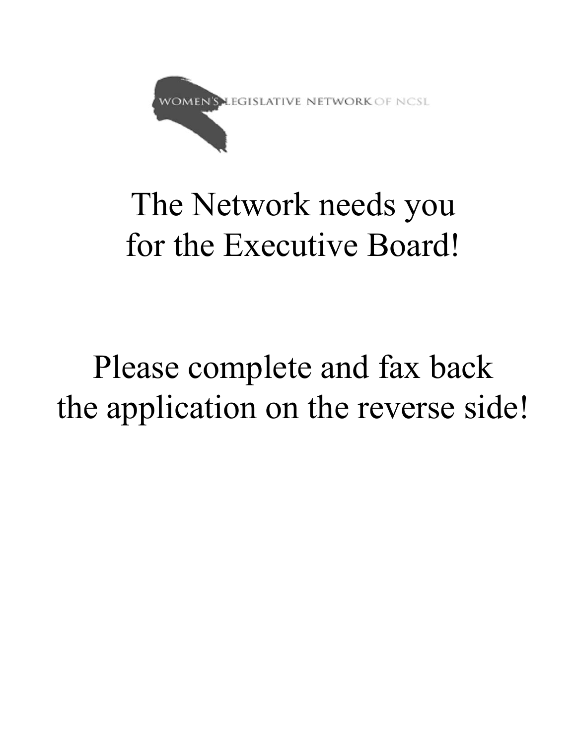

# The Network needs you for the Executive Board!

# Please complete and fax back the application on the reverse side!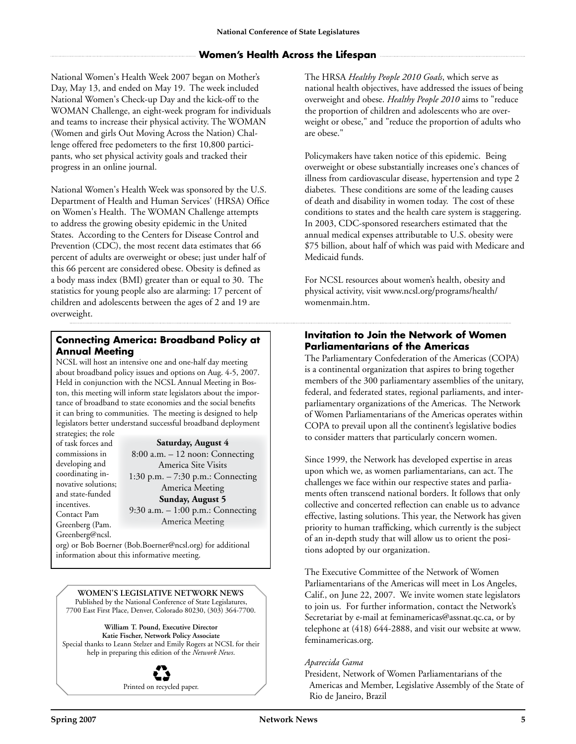#### **Women's Health Across the Lifespan**

National Women's Health Week 2007 began on Mother's Day, May 13, and ended on May 19. The week included National Women's Check-up Day and the kick-off to the WOMAN Challenge, an eight-week program for individuals and teams to increase their physical activity. The WOMAN (Women and girls Out Moving Across the Nation) Challenge offered free pedometers to the first 10,800 participants, who set physical activity goals and tracked their progress in an online journal.

National Women's Health Week was sponsored by the U.S. Department of Health and Human Services' (HRSA) Office on Women's Health. The WOMAN Challenge attempts to address the growing obesity epidemic in the United States. According to the Centers for Disease Control and Prevention (CDC), the most recent data estimates that 66 percent of adults are overweight or obese; just under half of this 66 percent are considered obese. Obesity is defined as a body mass index (BMI) greater than or equal to 30. The statistics for young people also are alarming: 17 percent of children and adolescents between the ages of 2 and 19 are overweight.

#### **Connecting America: Broadband Policy at Annual Meeting**

NCSL will host an intensive one and one-half day meeting about broadband policy issues and options on Aug. 4-5, 2007. Held in conjunction with the NCSL Annual Meeting in Boston, this meeting will inform state legislators about the importance of broadband to state economies and the social benefits it can bring to communities. The meeting is designed to help legislators better understand successful broadband deployment

strategies; the role of task forces and commissions in developing and coordinating innovative solutions; and state-funded incentives. Contact Pam Greenberg (Pam. Greenberg@ncsl.

**Saturday, August 4**

8:00 a.m. – 12 noon: Connecting America Site Visits 1:30 p.m. – 7:30 p.m.: Connecting America Meeting **Sunday, August 5** 9:30 a.m. – 1:00 p.m.: Connecting America Meeting

org) or Bob Boerner (Bob.Boerner@ncsl.org) for additional information about this informative meeting.

**Women's legislative Network News** Published by the National Conference of State Legislatures, 7700 East First Place, Denver, Colorado 80230, (303) 364-7700.

**William T. Pound, Executive Director Katie Fischer, Network Policy Associate** Special thanks to Leann Stelzer and Emily Rogers at NCSL for their help in preparing this edition of the *Network News*.



The HRSA *Healthy People 2010 Goals*, which serve as national health objectives, have addressed the issues of being overweight and obese. *Healthy People 2010* aims to "reduce the proportion of children and adolescents who are overweight or obese," and "reduce the proportion of adults who are obese."

Policymakers have taken notice of this epidemic. Being overweight or obese substantially increases one's chances of illness from cardiovascular disease, hypertension and type 2 diabetes. These conditions are some of the leading causes of death and disability in women today. The cost of these conditions to states and the health care system is staggering. In 2003, CDC-sponsored researchers estimated that the annual medical expenses attributable to U.S. obesity were \$75 billion, about half of which was paid with Medicare and Medicaid funds.

For NCSL resources about women's health, obesity and physical activity, visit www.ncsl.org/programs/health/ womenmain.htm.

#### **Invitation to Join the Network of Women Parliamentarians of the Americas**

The Parliamentary Confederation of the Americas (COPA) is a continental organization that aspires to bring together members of the 300 parliamentary assemblies of the unitary, federal, and federated states, regional parliaments, and interparliamentary organizations of the Americas. The Network of Women Parliamentarians of the Americas operates within COPA to prevail upon all the continent's legislative bodies to consider matters that particularly concern women.

Since 1999, the Network has developed expertise in areas upon which we, as women parliamentarians, can act. The challenges we face within our respective states and parliaments often transcend national borders. It follows that only collective and concerted reflection can enable us to advance effective, lasting solutions. This year, the Network has given priority to human trafficking, which currently is the subject of an in-depth study that will allow us to orient the positions adopted by our organization.

The Executive Committee of the Network of Women Parliamentarians of the Americas will meet in Los Angeles, Calif., on June 22, 2007. We invite women state legislators to join us. For further information, contact the Network's Secretariat by e-mail at feminamericas@assnat.qc.ca, or by telephone at (418) 644-2888, and visit our website at www. feminamericas.org.

#### *Aparecida Gama*

President, Network of Women Parliamentarians of the Americas and Member, Legislative Assembly of the State of Rio de Janeiro, Brazil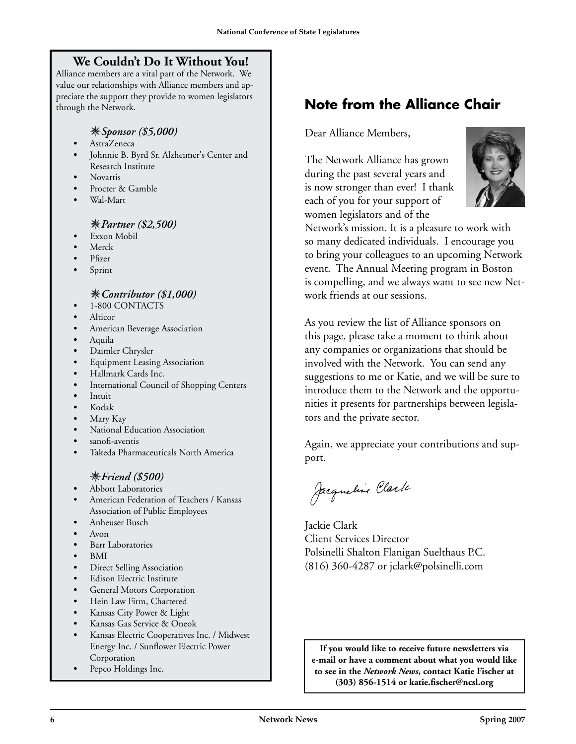### **We Couldn't Do It Without You!**

Alliance members are a vital part of the Network. We value our relationships with Alliance members and appreciate the support they provide to women legislators through the Network.

#### *Sponsor (\$5,000)*

- *•* AstraZeneca
- *•* Johnnie B. Byrd Sr. Alzheimer's Center and Research Institute
- *•* Novartis
- *•* Procter & Gamble
- *•* Wal-Mart

#### *Partner (\$2,500)*

- *•* Exxon Mobil
- *•* Merck
- *•* Pfizer
- *•* Sprint

#### *Contributor (\$1,000)*

- *•* 1-800 CONTACTS
- *•* Alticor
- *•* American Beverage Association
- *•* Aquila
- *•* Daimler Chrysler
- *<u>Equipment Leasing Association</u>*
- *•* Hallmark Cards Inc.
- **International Council of Shopping Centers**
- *•* Intuit
- *•* Kodak
- Mary Kay
- *•* National Education Association
- *•* sanofi-aventis
- *•* Takeda Pharmaceuticals North America

#### *Friend (\$500)*

- *•* Abbott Laboratories
- *•* American Federation of Teachers / Kansas Association of Public Employees
- Anheuser Busch
- *•* Avon
- *•* Barr Laboratories
- *•* BMI
- **Direct Selling Association**
- *•* Edison Electric Institute
- General Motors Corporation
- *•* Hein Law Firm, Chartered
- *•* Kansas City Power & Light
- *•* Kansas Gas Service & Oneok
- *•* Kansas Electric Cooperatives Inc. / Midwest Energy Inc. / Sunflower Electric Power Corporation
- *•* Pepco Holdings Inc.

## **Note from the Alliance Chair**

Dear Alliance Members,

The Network Alliance has grown during the past several years and is now stronger than ever! I thank each of you for your support of women legislators and of the



Network's mission. It is a pleasure to work with so many dedicated individuals. I encourage you to bring your colleagues to an upcoming Network event. The Annual Meeting program in Boston is compelling, and we always want to see new Network friends at our sessions.

As you review the list of Alliance sponsors on this page, please take a moment to think about any companies or organizations that should be involved with the Network. You can send any suggestions to me or Katie, and we will be sure to introduce them to the Network and the opportunities it presents for partnerships between legislators and the private sector.

Again, we appreciate your contributions and support.

Jacqueline Clark

Jackie Clark Client Services Director Polsinelli Shalton Flanigan Suelthaus P.C. (816) 360-4287 or jclark@polsinelli.com

**If you would like to receive future newsletters via e-mail or have a comment about what you would like to see in the** *Network News***, contact Katie Fischer at (303) 856-1514 or katie.fischer@ncsl.org**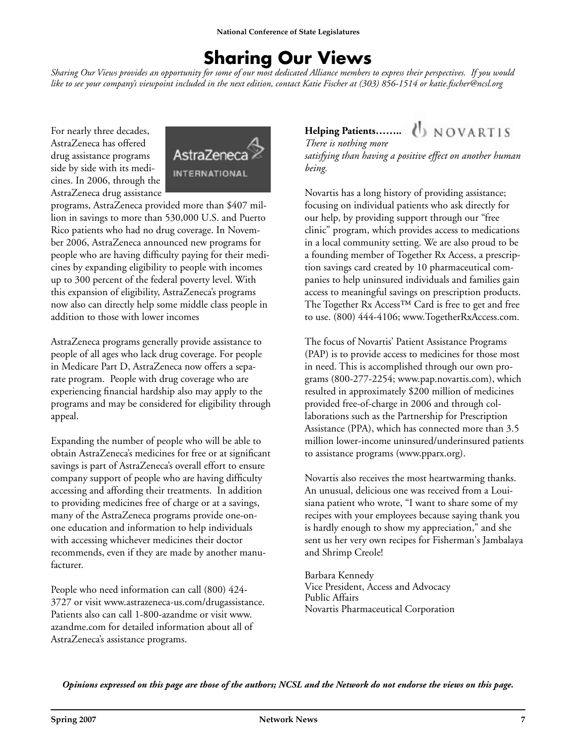## **Sharing Our Views**

*Sharing Our Views provides an opportunity for some of our most dedicated Alliance members to express their perspectives. If you would like to see your company's viewpoint included in the next edition, contact Katie Fischer at (303) 856-1514 or katie.fischer@ncsl.org* 

For nearly three decades, AstraZeneca has offered drug assistance programs side by side with its medicines. In 2006, through the AstraZeneca drug assistance



programs, AstraZeneca provided more than \$407 million in savings to more than 530,000 U.S. and Puerto Rico patients who had no drug coverage. In November 2006, AstraZeneca announced new programs for people who are having difficulty paying for their medicines by expanding eligibility to people with incomes up to 300 percent of the federal poverty level. With this expansion of eligibility, AstraZeneca's programs now also can directly help some middle class people in addition to those with lower incomes

AstraZeneca programs generally provide assistance to people of all ages who lack drug coverage. For people in Medicare Part D, AstraZeneca now offers a separate program. People with drug coverage who are experiencing financial hardship also may apply to the programs and may be considered for eligibility through appeal.

Expanding the number of people who will be able to obtain AstraZeneca's medicines for free or at significant savings is part of AstraZeneca's overall effort to ensure company support of people who are having difficulty accessing and affording their treatments. In addition to providing medicines free of charge or at a savings, many of the AstraZeneca programs provide one-onone education and information to help individuals with accessing whichever medicines their doctor recommends, even if they are made by another manufacturer.

People who need information can call (800) 424- 3727 or visit www.astrazeneca-us.com/drugassistance. Patients also can call 1-800-azandme or visit www. azandme.com for detailed information about all of AstraZeneca's assistance programs.

## Helping Patients…….. ( NOVARTIS

*There is nothing more satisfying than having a positive effect on another human being.* 

Novartis has a long history of providing assistance; focusing on individual patients who ask directly for our help, by providing support through our "free clinic" program, which provides access to medications in a local community setting. We are also proud to be a founding member of Together Rx Access, a prescription savings card created by 10 pharmaceutical companies to help uninsured individuals and families gain access to meaningful savings on prescription products. The Together Rx Access™ Card is free to get and free to use. (800) 444-4106; www.TogetherRxAccess.com.

The focus of Novartis' Patient Assistance Programs (PAP) is to provide access to medicines for those most in need. This is accomplished through our own programs (800-277-2254; www.pap.novartis.com), which resulted in approximately \$200 million of medicines provided free-of-charge in 2006 and through collaborations such as the Partnership for Prescription Assistance (PPA), which has connected more than 3.5 million lower-income uninsured/underinsured patients to assistance programs (www.pparx.org).

Novartis also receives the most heartwarming thanks. An unusual, delicious one was received from a Louisiana patient who wrote, "I want to share some of my recipes with your employees because saying thank you is hardly enough to show my appreciation," and she sent us her very own recipes for Fisherman's Jambalaya and Shrimp Creole!

Barbara Kennedy Vice President, Access and Advocacy Public Affairs Novartis Pharmaceutical Corporation

*Opinions expressed on this page are those of the authors; NCSL and the Network do not endorse the views on this page.*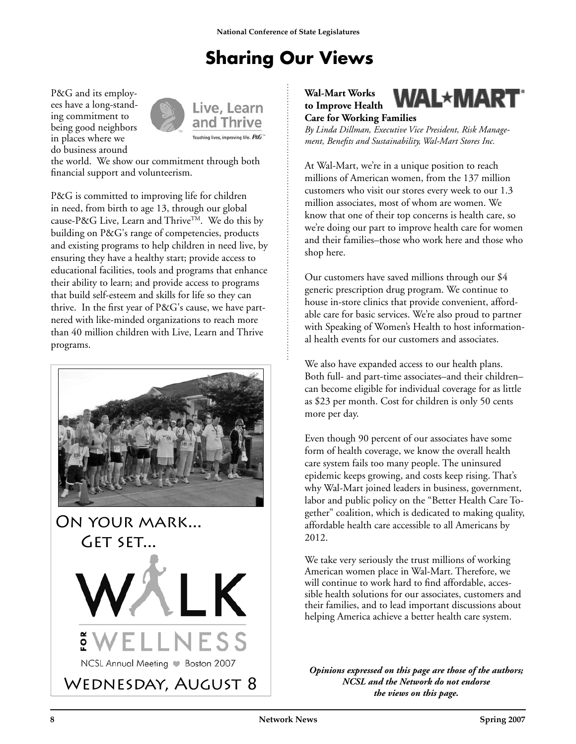# **Sharing Our Views**

P&G and its employees have a long-standing commitment to being good neighbors in places where we do business around



Live, Learn and Thrive

the world. We show our commitment through both financial support and volunteerism.

P&G is committed to improving life for children in need, from birth to age 13, through our global cause-P&G Live, Learn and Thrive™. We do this by building on P&G's range of competencies, products and existing programs to help children in need live, by ensuring they have a healthy start; provide access to educational facilities, tools and programs that enhance their ability to learn; and provide access to programs that build self-esteem and skills for life so they can thrive. In the first year of P&G's cause, we have partnered with like-minded organizations to reach more than 40 million children with Live, Learn and Thrive programs.



**Wal-Mart Works to Improve Health** 



**Care for Working Families** *By Linda Dillman, Executive Vice President, Risk Management, Benefits and Sustainability, Wal-Mart Stores Inc.*

At Wal-Mart, we're in a unique position to reach millions of American women, from the 137 million customers who visit our stores every week to our 1.3 million associates, most of whom are women. We know that one of their top concerns is health care, so we're doing our part to improve health care for women and their families–those who work here and those who shop here.

Our customers have saved millions through our \$4 generic prescription drug program. We continue to house in-store clinics that provide convenient, affordable care for basic services. We're also proud to partner with Speaking of Women's Health to host informational health events for our customers and associates.

We also have expanded access to our health plans. Both full- and part-time associates–and their children– can become eligible for individual coverage for as little as \$23 per month. Cost for children is only 50 cents more per day.

Even though 90 percent of our associates have some form of health coverage, we know the overall health care system fails too many people. The uninsured epidemic keeps growing, and costs keep rising. That's why Wal-Mart joined leaders in business, government, labor and public policy on the "Better Health Care Together" coalition, which is dedicated to making quality, affordable health care accessible to all Americans by 2012.

We take very seriously the trust millions of working American women place in Wal-Mart. Therefore, we will continue to work hard to find affordable, accessible health solutions for our associates, customers and their families, and to lead important discussions about helping America achieve a better health care system.

*Opinions expressed on this page are those of the authors; NCSL and the Network do not endorse the views on this page.*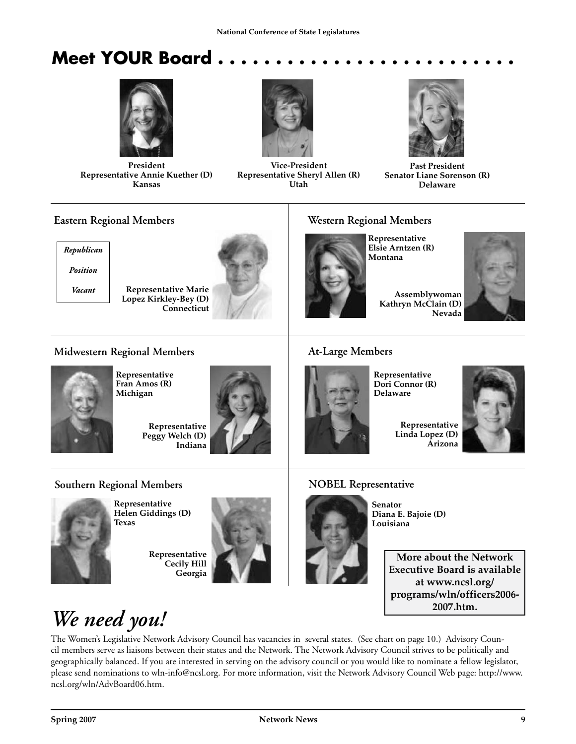## **Meet YOUR Board.**



President Representative Annie Kuether (D) Kansas



Vice-President Representative Sheryl Allen (R) Utah



Past President Senator Liane Sorenson (R) Delaware

#### **Eastern Regional Members**

*Republican Position*

*Vacant*

Representative Marie Lopez Kirkley-Bey (D) **Connecticut** 



#### **Western Regional Members**

Representative Elsie Arntzen (R) Montana



#### **Midwestern Regional Members**



Representative Fran Amos (R) Michigan

Representative Peggy Welch (D) Indiana





Representative Helen Giddings (D) Texas

Representative Cecily Hill Georgia





# **At-Large Members**

Representative Dori Connor (R) Delaware

Representative Linda Lopez (D) Arizona



#### **NOBEL Representative**



Senator Diana E. Bajoie (D) Louisiana

More about the Network Executive Board is available at www.ncsl.org/ programs/wln/officers2006- 2007.htm.

# *We need you!*

The Women's Legislative Network Advisory Council has vacancies in several states. (See chart on page 10.) Advisory Council members serve as liaisons between their states and the Network. The Network Advisory Council strives to be politically and geographically balanced. If you are interested in serving on the advisory council or you would like to nominate a fellow legislator, please send nominations to wln-info@ncsl.org. For more information, visit the Network Advisory Council Web page: http://www. ncsl.org/wln/AdvBoard06.htm.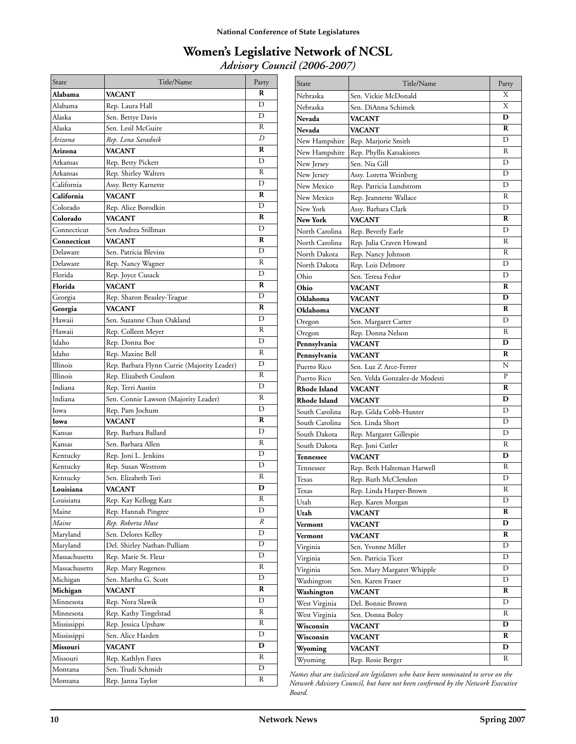#### **Women's Legislative Network of NCSL** *Advisory Council (2006-2007)*

| State         | Title/Name                                  | Party          |
|---------------|---------------------------------------------|----------------|
| Alabama       | VACANT                                      | R              |
| Alabama       | Rep. Laura Hall                             | D              |
| Alaska        | Sen. Bettye Davis                           | D              |
| Alaska        | Sen. Lesil McGuire                          | R              |
| Arizona       | Rep. Lena Saradnik                          | D              |
| Arizona       | VACANT                                      | R              |
| Arkansas      | Rep. Betty Pickett                          | D              |
| Arkansas      | Rep. Shirley Walters                        | R              |
| California    | Assy. Betty Karnette                        | D              |
| California    | VACANT                                      | R              |
| Colorado      | Rep. Alice Borodkin                         | D              |
| Colorado      | VACANT                                      | R              |
| Connecticut   | Sen Andrea Stillman                         | D              |
| Connecticut   | VACANT                                      | R              |
| Delaware      | Sen. Patricia Blevins                       | D              |
| Delaware      | Rep. Nancy Wagner                           | R              |
| Florida       | Rep. Joyce Cusack                           | D              |
| Florida       | VACANT                                      | R              |
| Georgia       | Rep. Sharon Beasley-Teague                  | D              |
| Georgia       | <b>VACANT</b>                               | R              |
| Hawaii        | Sen. Suzanne Chun Oakland                   | D              |
| Hawaii        | Rep. Colleen Meyer                          | R              |
| Idaho         | Rep. Donna Boe                              | D              |
| Idaho         | Rep. Maxine Bell                            | R              |
| Illinois      | Rep. Barbara Flynn Currie (Majority Leader) | D              |
| Illinois      | Rep. Elizabeth Coulson                      | R              |
| Indiana       | Rep. Terri Austin                           | D              |
| Indiana       | Sen. Connie Lawson (Majority Leader)        | R              |
| Iowa          | Rep. Pam Jochum                             | D              |
| Iowa          | VACANT                                      | R              |
| Kansas        | Rep. Barbara Ballard                        | D              |
| Kansas        | Sen. Barbara Allen                          | R              |
| Kentucky      | Rep. Joni L. Jenkins                        | D              |
| Kentucky      | Rep. Susan Westrom                          | D              |
| Kentucky      | Sen. Elizabeth Tori                         | R              |
| Louisiana     | <b>VACANT</b>                               | D              |
| Louisiana     | Rep. Kay Kellogg Katz                       | $\overline{R}$ |
| Maine         | Rep. Hannah Pingree                         | D              |
| Maine         | Rep. Roberta Muse                           | R              |
| Maryland      | Sen. Delores Kelley                         | D              |
| Maryland      | Del. Shirley Nathan-Pulliam                 | D              |
| Massachusetts | Rep. Marie St. Fleur                        | D              |
| Massachusetts | Rep. Mary Rogeness                          | R              |
| Michigan      | Sen. Martha G. Scott                        | D              |
| Michigan      | VACANT                                      | R              |
| Minnesota     | Rep. Nora Slawik                            | D              |
| Minnesota     | Rep. Kathy Tingelstad                       | R              |
| Mississippi   | Rep. Jessica Upshaw                         | R              |
| Mississippi   | Sen. Alice Harden                           | D              |
| Missouri      | <b>VACANT</b>                               | D              |
| Missouri      | Rep. Kathlyn Fares                          | R              |
| Montana       | Sen. Trudi Schmidt                          | D              |
| Montana       | Rep. Janna Taylor                           | R              |

| State          | Title/Name                     | Party        |
|----------------|--------------------------------|--------------|
| Nebraska       | Sen. Vickie McDonald           | Х            |
| Nebraska       | Sen. DiAnna Schimek            | X            |
| Nevada         | <b>VACANT</b>                  | D            |
| Nevada         | <b>VACANT</b>                  | R            |
| New Hampshire  | Rep. Marjorie Smith            | D            |
| New Hampshire  | Rep. Phyllis Katsakiores       | R            |
| New Jersey     | Sen. Nia Gill                  | D            |
| New Jersey     | Assy. Loretta Weinberg         | D            |
| New Mexico     | Rep. Patricia Lundstrom        | D            |
| New Mexico     | Rep. Jeannette Wallace         | R            |
| New York       | Assy. Barbara Clark            | D            |
| New York       | <b>VACANT</b>                  | R            |
| North Carolina | Rep. Beverly Earle             | D            |
| North Carolina | Rep. Julia Craven Howard       | R            |
| North Dakota   | Rep. Nancy Johnson             | R            |
| North Dakota   | Rep. Lois Delmore              | D            |
| Ohio           | Sen. Teresa Fedor              | D            |
| Ohio           | <b>VACANT</b>                  | R            |
| Oklahoma       | <b>VACANT</b>                  | D            |
| Oklahoma       | <b>VACANT</b>                  | R            |
| Oregon         | Sen. Margaret Carter           | D            |
| Oregon         | Rep. Donna Nelson              | R            |
| Pennsylvania   | <b>VACANT</b>                  | D            |
| Pennsylvania   | <b>VACANT</b>                  | R            |
| Puerto Rico    | Sen. Luz Z Arce-Ferrer         | N            |
| Puerto Rico    | Sen. Velda Gonzalez-de Modesti | $\mathbf{P}$ |
| Rhode Island   | <b>VACANT</b>                  | R            |
| Rhode Island   | <b>VACANT</b>                  | D            |
| South Carolina | Rep. Gilda Cobb-Hunter         | D            |
| South Carolina | Sen. Linda Short               | D            |
| South Dakota   | Rep. Margaret Gillespie        | D            |
| South Dakota   | Rep. Joni Cutler               | R            |
| Tennessee      | <b>VACANT</b>                  | D            |
| Tennessee      | Rep. Beth Halteman Harwell     | R            |
| Texas          | Rep. Ruth McClendon            | D            |
| Texas          | Rep. Linda Harper-Brown        | R            |
| Utah           | Rep. Karen Morgan              | D            |
| Utah           | VACANT                         | R            |
| Vermont        | VACANT                         | D            |
| Vermont        | <b>VACANT</b>                  | R            |
| Virginia       | Sen. Yvonne Miller             | D            |
| Virginia       | Sen. Patricia Ticer            | D            |
| Virginia       | Sen. Mary Margaret Whipple     | D            |
| Washington     | Sen. Karen Fraser              | D            |
| Washington     | VACANT                         | R            |
| West Virginia  | Del. Bonnie Brown              | D            |
| West Virginia  | Sen. Donna Boley               | R            |
| Wisconsin      | VACANT                         | D            |
| Wisconsin      | VACANT                         | R            |
| Wyoming        | VACANT                         | D            |
| Wyoming        | Rep. Rosie Berger              | R            |

*Names that are italicized are legislators who have been nominated to serve on the Network Advisory Council, but have not been confirmed by the Network Executive Board.*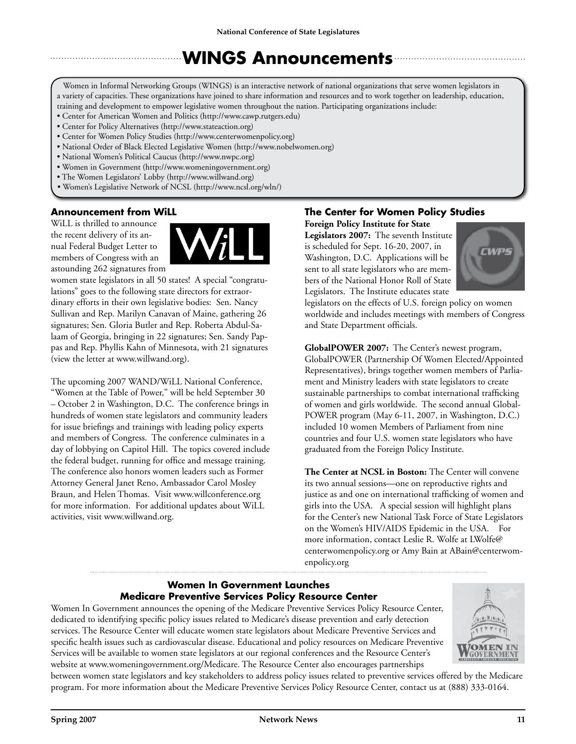## **WINGS Announcements**

Women in Informal Networking Groups (WINGS) is an interactive network of national organizations that serve women legislators in a variety of capacities. These organizations have joined to share information and resources and to work together on leadership, education, training and development to empower legislative women throughout the nation. Participating organizations include:

- Center for American Women and Politics (http://www.cawp.rutgers.edu)
- Center for Policy Alternatives (http://www.stateaction.org)
- Center for Women Policy Studies (http://www.centerwomenpolicy.org)
- National Order of Black Elected Legislative Women (http://www.nobelwomen.org)
- National Women's Political Caucus (http://www.nwpc.org)
- Women in Government (http://www.womeningovernment.org)
- The Women Legislators' Lobby (http://www.willwand.org)
- Women's Legislative Network of NCSL (http://www.ncsl.org/wln/)

#### **Announcement from WiLL**

WiLL is thrilled to announce the recent delivery of its annual Federal Budget Letter to members of Congress with an astounding 262 signatures from



women state legislators in all 50 states! A special "congratulations" goes to the following state directors for extraordinary efforts in their own legislative bodies: Sen. Nancy Sullivan and Rep. Marilyn Canavan of Maine, gathering 26 signatures; Sen. Gloria Butler and Rep. Roberta Abdul-Salaam of Georgia, bringing in 22 signatures; Sen. Sandy Pappas and Rep. Phyllis Kahn of Minnesota, with 21 signatures (view the letter at www.willwand.org).

The upcoming 2007 WAND/WiLL National Conference, "Women at the Table of Power," will be held September 30 – October 2 in Washington, D.C. The conference brings in hundreds of women state legislators and community leaders for issue briefings and trainings with leading policy experts and members of Congress. The conference culminates in a day of lobbying on Capitol Hill. The topics covered include the federal budget, running for office and message training. The conference also honors women leaders such as Former Attorney General Janet Reno, Ambassador Carol Mosley Braun, and Helen Thomas. Visit www.willconference.org for more information. For additional updates about WiLL activities, visit www.willwand.org.

#### **The Center for Women Policy Studies**

**Foreign Policy Institute for State Legislators 2007:** The seventh Institute is scheduled for Sept. 16-20, 2007, in Washington, D.C. Applications will be sent to all state legislators who are members of the National Honor Roll of State

Legislators. The Institute educates state



legislators on the effects of U.S. foreign policy on women worldwide and includes meetings with members of Congress and State Department officials.

**GlobalPOWER 2007:** The Center's newest program, GlobalPOWER (Partnership Of Women Elected/Appointed Representatives), brings together women members of Parliament and Ministry leaders with state legislators to create sustainable partnerships to combat international trafficking of women and girls worldwide. The second annual Global-POWER program (May 6-11, 2007, in Washington, D.C.) included 10 women Members of Parliament from nine countries and four U.S. women state legislators who have graduated from the Foreign Policy Institute.

**The Center at NCSL in Boston:** The Center will convene its two annual sessions—one on reproductive rights and justice as and one on international trafficking of women and girls into the USA. A special session will highlight plans for the Center's new National Task Force of State Legislators on the Women's HIV/AIDS Epidemic in the USA. For more information, contact Leslie R. Wolfe at LWolfe@ centerwomenpolicy.org or Amy Bain at ABain@centerwomenpolicy.org

#### **Women In Government Launches Medicare Preventive Services Policy Resource Center**

Women In Government announces the opening of the Medicare Preventive Services Policy Resource Center, dedicated to identifying specific policy issues related to Medicare's disease prevention and early detection services. The Resource Center will educate women state legislators about Medicare Preventive Services and specific health issues such as cardiovascular disease. Educational and policy resources on Medicare Preventive Services will be available to women state legislators at our regional conferences and the Resource Center's website at www.womeningovernment.org/Medicare. The Resource Center also encourages partnerships



between women state legislators and key stakeholders to address policy issues related to preventive services offered by the Medicare program. For more information about the Medicare Preventive Services Policy Resource Center, contact us at (888) 333-0164.